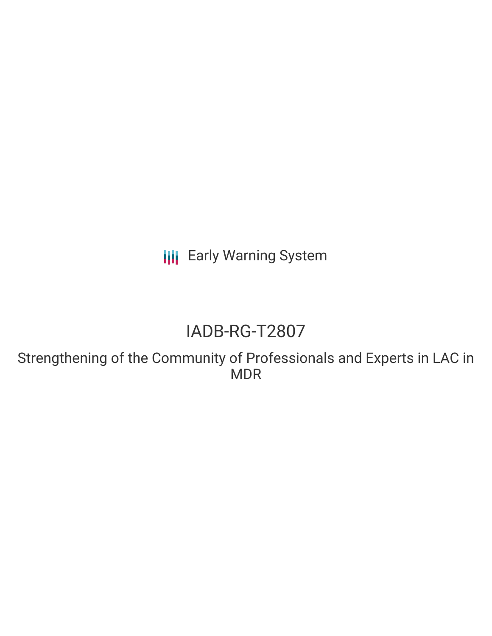**III** Early Warning System

# IADB-RG-T2807

Strengthening of the Community of Professionals and Experts in LAC in MDR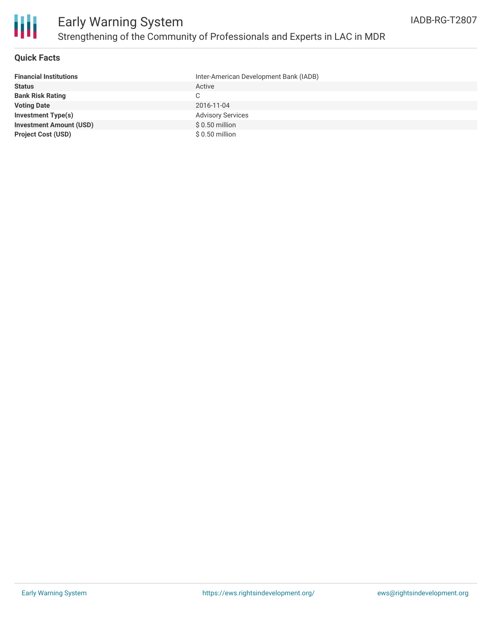

### **Quick Facts**

| <b>Financial Institutions</b>  | Inter-American Development Bank (IADB) |
|--------------------------------|----------------------------------------|
| <b>Status</b>                  | Active                                 |
| <b>Bank Risk Rating</b>        | C                                      |
| <b>Voting Date</b>             | 2016-11-04                             |
| <b>Investment Type(s)</b>      | <b>Advisory Services</b>               |
| <b>Investment Amount (USD)</b> | $$0.50$ million                        |
| <b>Project Cost (USD)</b>      | $$0.50$ million                        |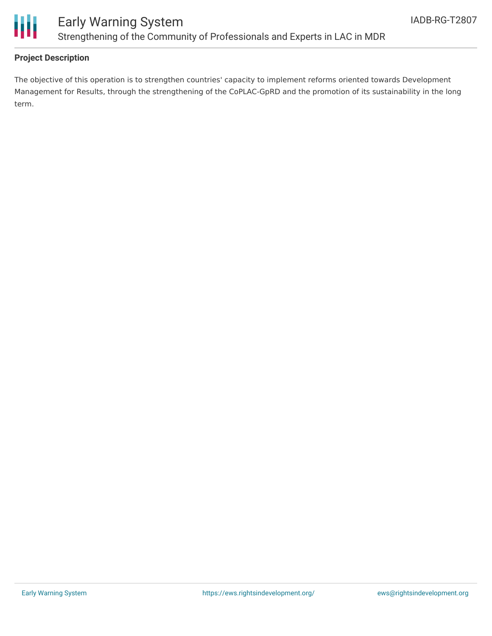

## **Project Description**

The objective of this operation is to strengthen countries' capacity to implement reforms oriented towards Development Management for Results, through the strengthening of the CoPLAC-GpRD and the promotion of its sustainability in the long term.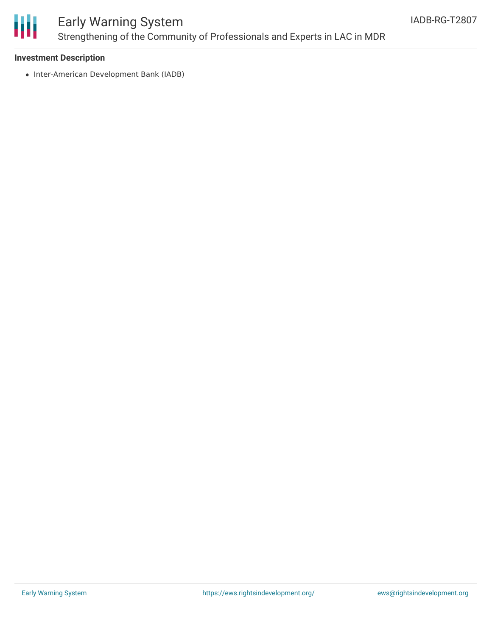

# Early Warning System Strengthening of the Community of Professionals and Experts in LAC in MDR

### **Investment Description**

• Inter-American Development Bank (IADB)